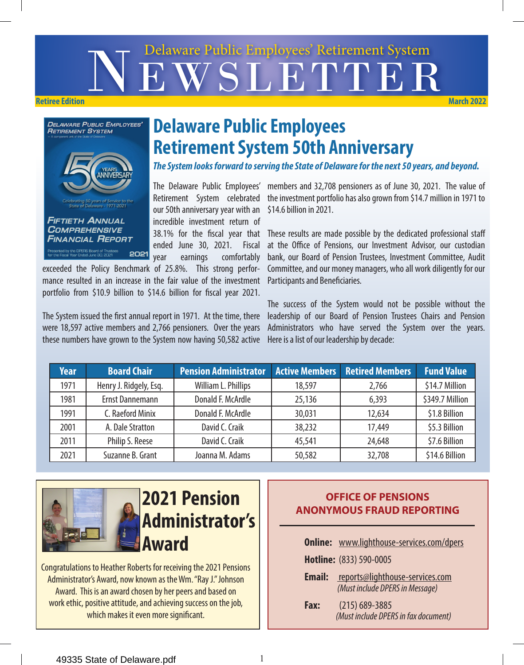# EWSLETTE Delaware Public Employees' Retirement System **Retiree Edition March 2022**



# **Delaware Public Employees Retirement System 50th Anniversary**

*The System looks forward to serving the State of Delaware for the next 50 years, and beyond.*

our 50th anniversary year with an incredible investment return of ended June 30, 2021. Fiscal year earnings comfortably

exceeded the Policy Benchmark of 25.8%. This strong performance resulted in an increase in the fair value of the investment portfolio from \$10.9 billion to \$14.6 billion for fiscal year 2021.

The System issued the first annual report in 1971. At the time, there were 18,597 active members and 2,766 pensioners. Over the years these numbers have grown to the System now having 50,582 active

The Delaware Public Employees' members and 32,708 pensioners as of June 30, 2021. The value of Retirement System celebrated the investment portfolio has also grown from \$14.7 million in 1971 to \$14.6 billion in 2021.

38.1% for the fiscal year that These results are made possible by the dedicated professional staff at the Office of Pensions, our Investment Advisor, our custodian bank, our Board of Pension Trustees, Investment Committee, Audit Committee, and our money managers, who all work diligently for our Participants and Beneficiaries.

> The success of the System would not be possible without the leadership of our Board of Pension Trustees Chairs and Pension Administrators who have served the System over the years. Here is a list of our leadership by decade:

| <b>Year</b> | <b>Board Chair</b>     | <b>Pension Administrator</b> |        | <b>Active Members Retired Members</b> | <b>Fund Value</b> |
|-------------|------------------------|------------------------------|--------|---------------------------------------|-------------------|
| 1971        | Henry J. Ridgely, Esq. | William L. Phillips          | 18,597 | 2,766                                 | \$14.7 Million    |
| 1981        | Ernst Dannemann        | Donald F. McArdle            | 25,136 | 6,393                                 | \$349.7 Million   |
| 1991        | C. Raeford Minix       | Donald F. McArdle            | 30,031 | 12,634                                | \$1.8 Billion     |
| 2001        | A. Dale Stratton       | David C. Craik               | 38,232 | 17,449                                | \$5.3 Billion     |
| 2011        | Philip S. Reese        | David C. Craik               | 45,541 | 24,648                                | \$7.6 Billion     |
| 2021        | Suzanne B. Grant       | Joanna M. Adams              | 50,582 | 32,708                                | \$14.6 Billion    |



Congratulations to Heather Roberts for receiving the 2021 Pensions Administrator's Award, now known as the Wm. "Ray J." Johnson Award. This is an award chosen by her peers and based on work ethic, positive attitude, and achieving success on the job, which makes it even more significant.

#### **OFFICE OF PENSIONS ANONYMOUS FRAUD REPORTING**

|               | <b>Online:</b> www.lighthouse-services.com/dpers                   |
|---------------|--------------------------------------------------------------------|
|               | Hotline: (833) 590-0005                                            |
| <b>Email:</b> | reports@lighthouse-services.com<br>(Must include DPERS in Message) |
| Fax:          | $(215)$ 689-3885<br>(Must include DPERS in fax document)           |